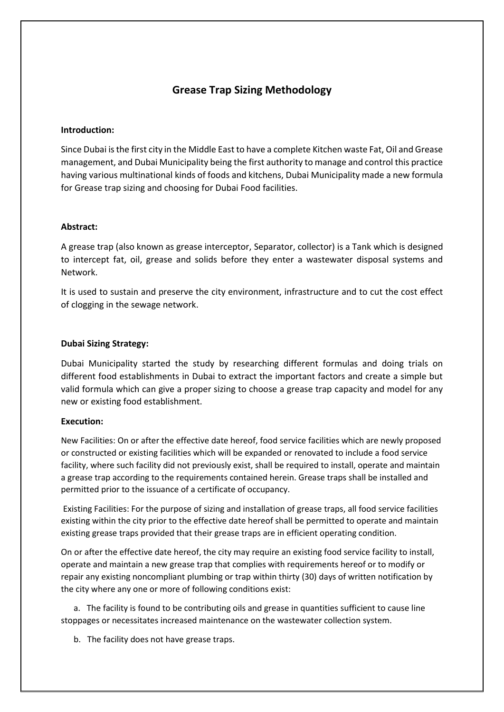# **Grease Trap Sizing Methodology**

#### **Introduction:**

Since Dubai is the first city in the Middle East to have a complete Kitchen waste Fat, Oil and Grease management, and Dubai Municipality being the first authority to manage and control this practice having various multinational kinds of foods and kitchens, Dubai Municipality made a new formula for Grease trap sizing and choosing for Dubai Food facilities.

#### **Abstract:**

A grease trap (also known as grease interceptor, Separator, collector) is a Tank which is designed to intercept fat, oil, grease and solids before they enter a wastewater disposal systems and Network.

It is used to sustain and preserve the city environment, infrastructure and to cut the cost effect of clogging in the sewage network.

#### **Dubai Sizing Strategy:**

Dubai Municipality started the study by researching different formulas and doing trials on different food establishments in Dubai to extract the important factors and create a simple but valid formula which can give a proper sizing to choose a grease trap capacity and model for any new or existing food establishment.

#### **Execution:**

New Facilities: On or after the effective date hereof, food service facilities which are newly proposed or constructed or existing facilities which will be expanded or renovated to include a food service facility, where such facility did not previously exist, shall be required to install, operate and maintain a grease trap according to the requirements contained herein. Grease traps shall be installed and permitted prior to the issuance of a certificate of occupancy.

Existing Facilities: For the purpose of sizing and installation of grease traps, all food service facilities existing within the city prior to the effective date hereof shall be permitted to operate and maintain existing grease traps provided that their grease traps are in efficient operating condition.

On or after the effective date hereof, the city may require an existing food service facility to install, operate and maintain a new grease trap that complies with requirements hereof or to modify or repair any existing noncompliant plumbing or trap within thirty (30) days of written notification by the city where any one or more of following conditions exist:

 a. The facility is found to be contributing oils and grease in quantities sufficient to cause line stoppages or necessitates increased maintenance on the wastewater collection system.

b. The facility does not have grease traps.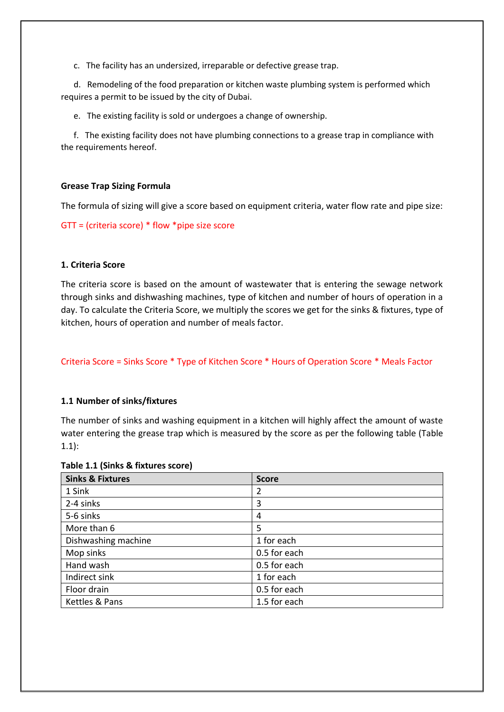c. The facility has an undersized, irreparable or defective grease trap.

 d. Remodeling of the food preparation or kitchen waste plumbing system is performed which requires a permit to be issued by the city of Dubai.

e. The existing facility is sold or undergoes a change of ownership.

 f. The existing facility does not have plumbing connections to a grease trap in compliance with the requirements hereof.

#### **Grease Trap Sizing Formula**

The formula of sizing will give a score based on equipment criteria, water flow rate and pipe size:

GTT = (criteria score) \* flow \*pipe size score

#### **1. Criteria Score**

The criteria score is based on the amount of wastewater that is entering the sewage network through sinks and dishwashing machines, type of kitchen and number of hours of operation in a day. To calculate the Criteria Score, we multiply the scores we get for the sinks & fixtures, type of kitchen, hours of operation and number of meals factor.

Criteria Score = Sinks Score \* Type of Kitchen Score \* Hours of Operation Score \* Meals Factor

#### **1.1 Number of sinks/fixtures**

The number of sinks and washing equipment in a kitchen will highly affect the amount of waste water entering the grease trap which is measured by the score as per the following table (Table 1.1):

#### **Table 1.1 (Sinks & fixtures score)**

| <b>Sinks &amp; Fixtures</b> | <b>Score</b> |
|-----------------------------|--------------|
| 1 Sink                      | 2            |
| 2-4 sinks                   | 3            |
| 5-6 sinks                   | 4            |
| More than 6                 | 5            |
| Dishwashing machine         | 1 for each   |
| Mop sinks                   | 0.5 for each |
| Hand wash                   | 0.5 for each |
| Indirect sink               | 1 for each   |
| Floor drain                 | 0.5 for each |
| Kettles & Pans              | 1.5 for each |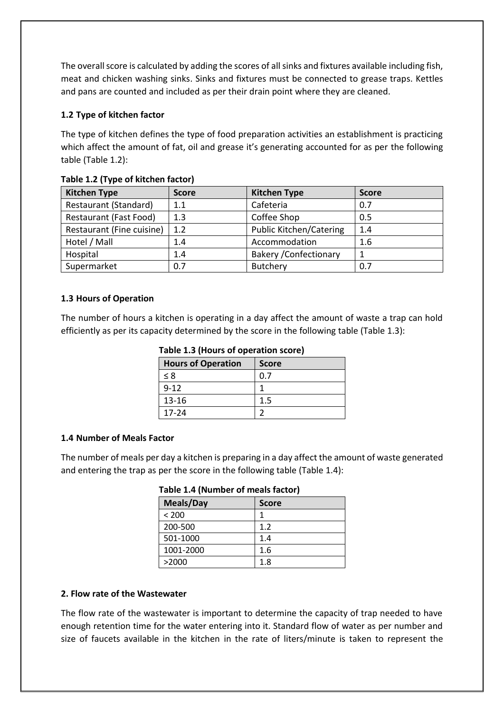The overall score is calculated by adding the scores of all sinks and fixtures available including fish, meat and chicken washing sinks. Sinks and fixtures must be connected to grease traps. Kettles and pans are counted and included as per their drain point where they are cleaned.

# **1.2 Type of kitchen factor**

The type of kitchen defines the type of food preparation activities an establishment is practicing which affect the amount of fat, oil and grease it's generating accounted for as per the following table (Table 1.2):

| <b>Kitchen Type</b>       | <b>Score</b> | <b>Kitchen Type</b>            | <b>Score</b> |
|---------------------------|--------------|--------------------------------|--------------|
| Restaurant (Standard)     | 1.1          | Cafeteria                      | 0.7          |
| Restaurant (Fast Food)    | 1.3          | Coffee Shop                    | 0.5          |
| Restaurant (Fine cuisine) | 1.2          | <b>Public Kitchen/Catering</b> | 1.4          |
| Hotel / Mall              | 1.4          | Accommodation                  | 1.6          |
| Hospital                  | 1.4          | <b>Bakery / Confectionary</b>  |              |
| Supermarket               | 0.7          | Butchery                       | 0.7          |

# **Table 1.2 (Type of kitchen factor)**

# **1.3 Hours of Operation**

The number of hours a kitchen is operating in a day affect the amount of waste a trap can hold efficiently as per its capacity determined by the score in the following table (Table 1.3):

| Table 1.3 (Hours of operation score)      |     |  |
|-------------------------------------------|-----|--|
| <b>Hours of Operation</b><br><b>Score</b> |     |  |
| $\leq 8$                                  | 0.7 |  |
| $9 - 12$                                  |     |  |
| 13-16                                     | 1.5 |  |
| 17-24                                     |     |  |

# **Table 1.3 (Hours of operation score)**

# **1.4 Number of Meals Factor**

The number of meals per day a kitchen is preparing in a day affect the amount of waste generated and entering the trap as per the score in the following table (Table 1.4):

| Table 1.4 (Number of meals factor) |  |  |  |
|------------------------------------|--|--|--|
|------------------------------------|--|--|--|

| <b>Meals/Day</b> | <b>Score</b> |
|------------------|--------------|
| < 200            |              |
| 200-500          | 1.2          |
| 501-1000         | 1.4          |
| 1001-2000        | 1.6          |
| >2000            | 1.8          |

# **2. Flow rate of the Wastewater**

The flow rate of the wastewater is important to determine the capacity of trap needed to have enough retention time for the water entering into it. Standard flow of water as per number and size of faucets available in the kitchen in the rate of liters/minute is taken to represent the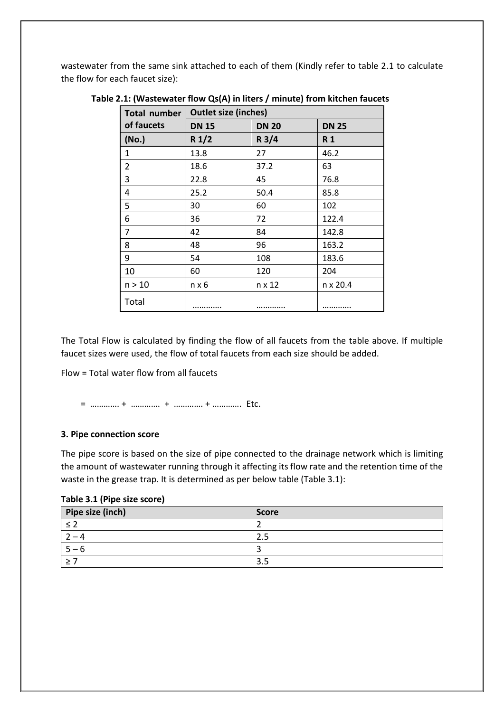wastewater from the same sink attached to each of them (Kindly refer to table 2.1 to calculate the flow for each faucet size):

| Total number | <b>Outlet size (inches)</b> |              |              |  |
|--------------|-----------------------------|--------------|--------------|--|
| of faucets   | <b>DN 15</b>                | <b>DN 20</b> | <b>DN 25</b> |  |
| (No.)        | R1/2                        | R3/4         | R 1          |  |
| 1            | 13.8                        | 27           | 46.2         |  |
| 2            | 18.6                        | 37.2         | 63           |  |
| 3            | 22.8                        | 45           | 76.8         |  |
| 4            | 25.2                        | 50.4         | 85.8         |  |
| 5            | 30                          | 60           | 102          |  |
| 6            | 36                          | 72           | 122.4        |  |
| 7            | 42                          | 84           | 142.8        |  |
| 8            | 48                          | 96           | 163.2        |  |
| 9            | 54                          | 108          | 183.6        |  |
| 10           | 60                          | 120          | 204          |  |
| n > 10       | $n \times 6$                | n x 12       | n x 20.4     |  |
| Total        |                             |              |              |  |

**Table 2.1: (Wastewater flow Qs(A) in liters / minute) from kitchen faucets**

The Total Flow is calculated by finding the flow of all faucets from the table above. If multiple faucet sizes were used, the flow of total faucets from each size should be added.

Flow = Total water flow from all faucets

= …………. + …………. + …………. + …………. Etc.

#### **3. Pipe connection score**

The pipe score is based on the size of pipe connected to the drainage network which is limiting the amount of wastewater running through it affecting its flow rate and the retention time of the waste in the grease trap. It is determined as per below table (Table 3.1):

|  |  |  |  | Table 3.1 (Pipe size score) |
|--|--|--|--|-----------------------------|
|--|--|--|--|-----------------------------|

| Pipe size (inch) | <b>Score</b>  |
|------------------|---------------|
|                  |               |
| -                | $\mathcal{D}$ |
| h                |               |
|                  | 3.5           |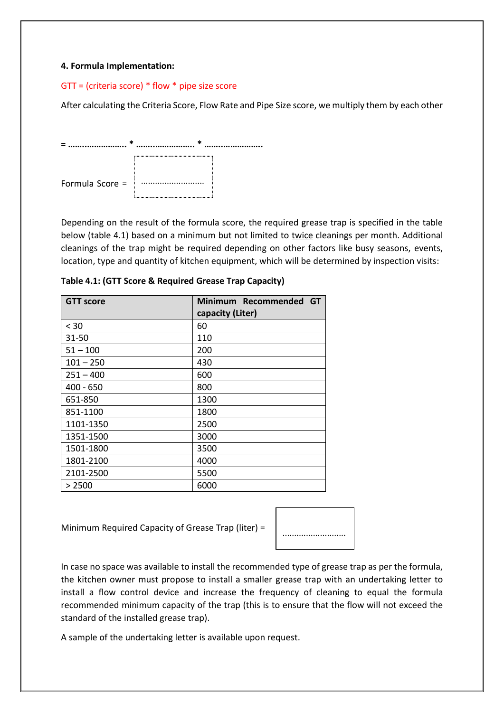### **4. Formula Implementation:**

#### GTT = (criteria score) \* flow \* pipe size score

After calculating the Criteria Score, Flow Rate and Pipe Size score, we multiply them by each other



Depending on the result of the formula score, the required grease trap is specified in the table below (table 4.1) based on a minimum but not limited to twice cleanings per month. Additional cleanings of the trap might be required depending on other factors like busy seasons, events, location, type and quantity of kitchen equipment, which will be determined by inspection visits:

| Table 4.1: (GTT Score & Required Grease Trap Capacity) |  |  |
|--------------------------------------------------------|--|--|
|                                                        |  |  |

| <b>GTT score</b> | Minimum Recommended<br><b>GT</b><br>capacity (Liter) |
|------------------|------------------------------------------------------|
| < 30             | 60                                                   |
| 31-50            | 110                                                  |
| $51 - 100$       | 200                                                  |
| $101 - 250$      | 430                                                  |
| $251 - 400$      | 600                                                  |
| $400 - 650$      | 800                                                  |
| 651-850          | 1300                                                 |
| 851-1100         | 1800                                                 |
| 1101-1350        | 2500                                                 |
| 1351-1500        | 3000                                                 |
| 1501-1800        | 3500                                                 |
| 1801-2100        | 4000                                                 |
| 2101-2500        | 5500                                                 |
| > 2500           | 6000                                                 |

Minimum Required Capacity of Grease Trap (liter) =



In case no space was available to install the recommended type of grease trap as per the formula, the kitchen owner must propose to install a smaller grease trap with an undertaking letter to install a flow control device and increase the frequency of cleaning to equal the formula recommended minimum capacity of the trap (this is to ensure that the flow will not exceed the standard of the installed grease trap).

A sample of the undertaking letter is available upon request.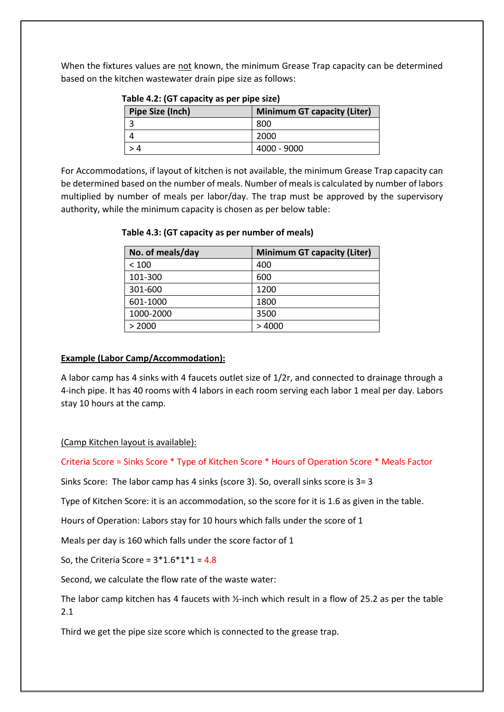When the fixtures values are not known, the minimum Grease Trap capacity can be determined based on the kitchen wastewater drain pipe size as follows:

| Pipe Size (Inch)<br><b>Minimum GT capacity (Liter)</b> |             |  |
|--------------------------------------------------------|-------------|--|
|                                                        | 800         |  |
|                                                        | 2000        |  |
|                                                        | 4000 - 9000 |  |

|  |  | Table 4.2: (GT capacity as per pipe size) |  |  |  |
|--|--|-------------------------------------------|--|--|--|
|--|--|-------------------------------------------|--|--|--|

For Accommodations, if layout of kitchen is not available, the minimum Grease Trap capacity can be determined based on the number of meals. Number of meals is calculated by number of labors multiplied by number of meals per labor/day. The trap must be approved by the supervisory authority, while the minimum capacity is chosen as per below table:

| No. of meals/day | <b>Minimum GT capacity (Liter)</b> |
|------------------|------------------------------------|
| < 100            | 400                                |
| 101-300          | 600                                |
| 301-600          | 1200                               |
| 601-1000         | 1800                               |
| 1000-2000        | 3500                               |
| > 2000           | >4000                              |

# **Table 4.3: (GT capacity as per number of meals)**

# **Example (Labor Camp/Accommodation):**

A labor camp has 4 sinks with 4 faucets outlet size of 1/2r, and connected to drainage through a 4-inch pipe. It has 40 rooms with 4 labors in each room serving each labor 1 meal per day. Labors stay 10 hours at the camp.

# (Camp Kitchen layout is available):

Criteria Score = Sinks Score \* Type of Kitchen Score \* Hours of Operation Score \* Meals Factor

Sinks Score: The labor camp has 4 sinks (score 3). So, overall sinks score is 3= 3

Type of Kitchen Score: it is an accommodation, so the score for it is 1.6 as given in the table.

Hours of Operation: Labors stay for 10 hours which falls under the score of 1

Meals per day is 160 which falls under the score factor of 1

So, the Criteria Score =  $3*1.6*1*1 = 4.8$ 

Second, we calculate the flow rate of the waste water:

The labor camp kitchen has 4 faucets with ½-inch which result in a flow of 25.2 as per the table 2.1

Third we get the pipe size score which is connected to the grease trap.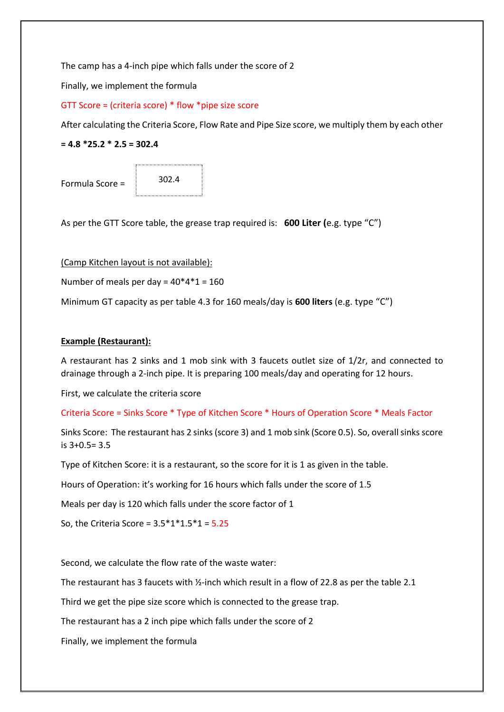The camp has a 4-inch pipe which falls under the score of 2

Finally, we implement the formula

### GTT Score = (criteria score) \* flow \*pipe size score

After calculating the Criteria Score, Flow Rate and Pipe Size score, we multiply them by each other

**= 4.8 \*25.2 \* 2.5 = 302.4**

Formula Score =

302.4

As per the GTT Score table, the grease trap required is: **600 Liter (**e.g. type "C")

(Camp Kitchen layout is not available):

Number of meals per day =  $40*4*1 = 160$ 

Minimum GT capacity as per table 4.3 for 160 meals/day is **600 liters** (e.g. type "C")

### **Example (Restaurant):**

A restaurant has 2 sinks and 1 mob sink with 3 faucets outlet size of 1/2r, and connected to drainage through a 2-inch pipe. It is preparing 100 meals/day and operating for 12 hours.

First, we calculate the criteria score

Criteria Score = Sinks Score \* Type of Kitchen Score \* Hours of Operation Score \* Meals Factor

Sinks Score: The restaurant has 2 sinks (score 3) and 1 mob sink (Score 0.5). So, overall sinks score is 3+0.5= 3.5

Type of Kitchen Score: it is a restaurant, so the score for it is 1 as given in the table.

Hours of Operation: it's working for 16 hours which falls under the score of 1.5

Meals per day is 120 which falls under the score factor of 1

So, the Criteria Score =  $3.5*1*1.5*1 = 5.25$ 

Second, we calculate the flow rate of the waste water:

The restaurant has 3 faucets with  $\frac{1}{2}$ -inch which result in a flow of 22.8 as per the table 2.1

Third we get the pipe size score which is connected to the grease trap.

The restaurant has a 2 inch pipe which falls under the score of 2

Finally, we implement the formula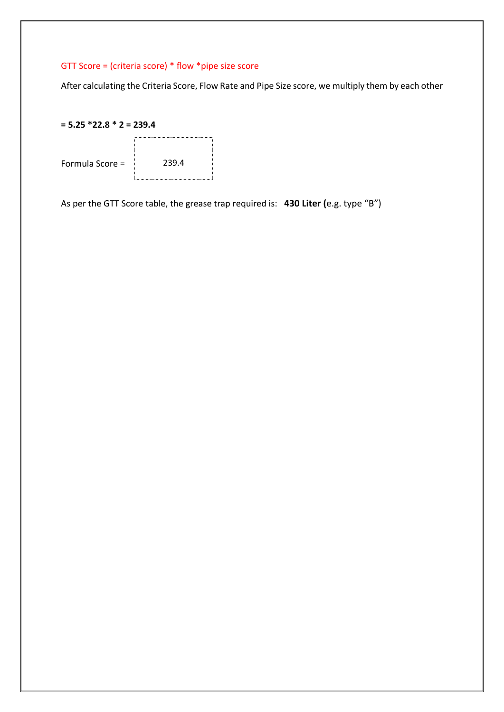# GTT Score = (criteria score) \* flow \*pipe size score

After calculating the Criteria Score, Flow Rate and Pipe Size score, we multiply them by each other





As per the GTT Score table, the grease trap required is: **430 Liter (**e.g. type "B")